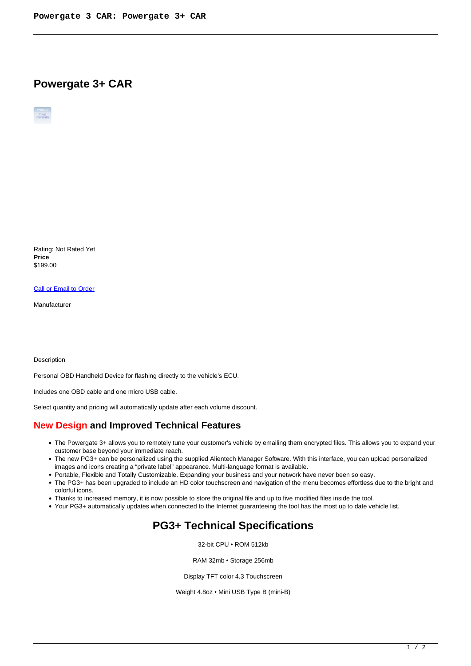## **Powergate 3+ CAR**

Rating: Not Rated Yet **Price**  \$199.00

[Call or Email to Order](https://alientech-usa.com/index.php?option=com_virtuemart&view=productdetails&task=askquestion&virtuemart_product_id=390&virtuemart_category_id=59&tmpl=component)

Manufacturer

Description

Personal OBD Handheld Device for flashing directly to the vehicle's ECU.

Includes one OBD cable and one micro USB cable.

Select quantity and pricing will automatically update after each volume discount.

## **New Design and Improved Technical Features**

- The Powergate 3+ allows you to remotely tune your customer's vehicle by emailing them encrypted files. This allows you to expand your customer base beyond your immediate reach.
- The new PG3+ can be personalized using the supplied Alientech Manager Software. With this interface, you can upload personalized images and icons creating a "private label" appearance. Multi-language format is available.
- Portable, Flexible and Totally Customizable. Expanding your business and your network have never been so easy.
- The PG3+ has been upgraded to include an HD color touchscreen and navigation of the menu becomes effortless due to the bright and colorful icons.
- Thanks to increased memory, it is now possible to store the original file and up to five modified files inside the tool.
- Your PG3+ automatically updates when connected to the Internet guaranteeing the tool has the most up to date vehicle list.

## **PG3+ Technical Specifications**

32-bit CPU • ROM 512kb

RAM 32mb • Storage 256mb

Display TFT color 4.3 Touchscreen

Weight 4.8oz • Mini USB Type B (mini-B)